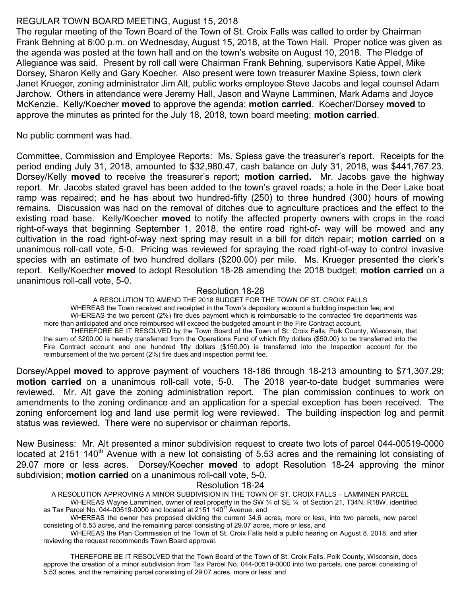# REGULAR TOWN BOARD MEETING, August 15, 2018

The regular meeting of the Town Board of the Town of St. Croix Falls was called to order by Chairman Frank Behning at 6:00 p.m. on Wednesday, August 15, 2018, at the Town Hall. Proper notice was given as the agenda was posted at the town hall and on the town's website on August 10, 2018. The Pledge of Allegiance was said. Present by roll call were Chairman Frank Behning, supervisors Katie Appel, Mike Dorsey, Sharon Kelly and Gary Koecher. Also present were town treasurer Maxine Spiess, town clerk Janet Krueger, zoning administrator Jim Alt, public works employee Steve Jacobs and legal counsel Adam Jarchow. Others in attendance were Jeremy Hall, Jason and Wayne Lamminen, Mark Adams and Joyce McKenzie. Kelly/Koecher moved to approve the agenda; motion carried. Koecher/Dorsey moved to approve the minutes as printed for the July 18, 2018, town board meeting; **motion carried**.

No public comment was had.

Committee, Commission and Employee Reports: Ms. Spiess gave the treasurer's report. Receipts for the period ending July 31, 2018, amounted to \$32,980.47, cash balance on July 31, 2018, was \$441,767.23. Dorsey/Kelly **moved** to receive the treasurer's report; **motion carried.** Mr. Jacobs gave the highway report. Mr. Jacobs stated gravel has been added to the town's gravel roads; a hole in the Deer Lake boat ramp was repaired; and he has about two hundred-fifty (250) to three hundred (300) hours of mowing remains. Discussion was had on the removal of ditches due to agriculture practices and the effect to the existing road base. Kelly/Koecher **moved** to notify the affected property owners with crops in the road right-of-ways that beginning September 1, 2018, the entire road right-of- way will be mowed and any cultivation in the road right-of-way next spring may result in a bill for ditch repair; motion carried on a unanimous roll-call vote, 5-0. Pricing was reviewed for spraying the road right-of-way to control invasive species with an estimate of two hundred dollars (\$200.00) per mile. Ms. Krueger presented the clerk's report. Kelly/Koecher **moved** to adopt Resolution 18-28 amending the 2018 budget; **motion carried** on a unanimous roll-call vote, 5-0.

# Resolution 18-28

A RESOLUTION TO AMEND THE 2018 BUDGET FOR THE TOWN OF ST. CROIX FALLS WHEREAS the Town received and receipted in the Town's depository account a building inspection fee; and WHEREAS the two percent (2%) fire dues payment which is reimbursable to the contracted fire departments was more than anticipated and once reimbursed will exceed the budgeted amount in the Fire Contract account. THEREFORE BE IT RESOLVED by the Town Board of the Town of St. Croix Falls, Polk County, Wisconsin, that the sum of \$200.00 is hereby transferred from the Operations Fund of which fifty dollars (\$50.00) to be transferred into the Fire Contract account and one hundred fifty dollars (\$150.00) is transferred into the Inspection account for the reimbursement of the two percent (2%) fire dues and inspection permit fee.

Dorsey/Appel moved to approve payment of vouchers 18-186 through 18-213 amounting to \$71,307.29; motion carried on a unanimous roll-call vote, 5-0. The 2018 year-to-date budget summaries were reviewed. Mr. Alt gave the zoning administration report. The plan commission continues to work on amendments to the zoning ordinance and an application for a special exception has been received. The zoning enforcement log and land use permit log were reviewed. The building inspection log and permit status was reviewed. There were no supervisor or chairman reports.

New Business: Mr. Alt presented a minor subdivision request to create two lots of parcel 044-00519-0000 located at 2151 140<sup>th</sup> Avenue with a new lot consisting of 5.53 acres and the remaining lot consisting of 29.07 more or less acres. Dorsey/Koecher moved to adopt Resolution 18-24 approving the minor subdivision; motion carried on a unanimous roll-call vote, 5-0.

# Resolution 18-24

A RESOLUTION APPROVING A MINOR SUBDIVISION IN THE TOWN OF ST. CROIX FALLS – LAMMINEN PARCEL

WHEREAS Wayne Lamminen, owner of real property in the SW 1/4 of SE 1/4 of Section 21, T34N, R18W, identified as Tax Parcel No. 044-00519-0000 and located at 2151 140<sup>th</sup> Avenue, and

WHEREAS the owner has proposed dividing the current 34.6 acres, more or less, into two parcels, new parcel consisting of 5.53 acres, and the remaining parcel consisting of 29.07 acres, more or less, and

WHEREAS the Plan Commission of the Town of St. Croix Falls held a public hearing on August 8, 2018, and after reviewing the request recommends Town Board approval.

THEREFORE BE IT RESOLVED that the Town Board of the Town of St. Croix Falls, Polk County, Wisconsin, does approve the creation of a minor subdivision from Tax Parcel No. 044-00519-0000 into two parcels, one parcel consisting of 5.53 acres, and the remaining parcel consisting of 29.07 acres, more or less; and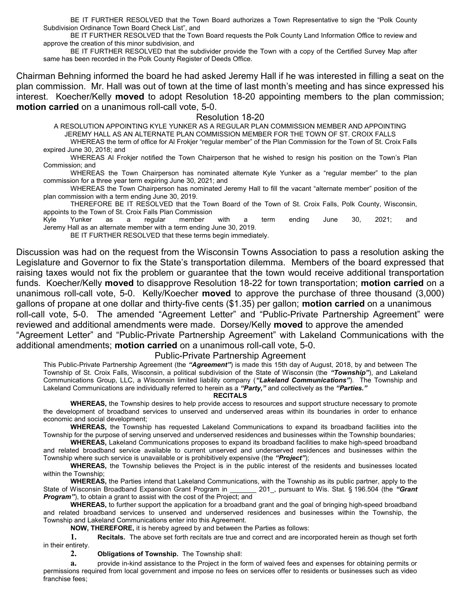BE IT FURTHER RESOLVED that the Town Board authorizes a Town Representative to sign the "Polk County Subdivision Ordinance Town Board Check List", and

 BE IT FURTHER RESOLVED that the Town Board requests the Polk County Land Information Office to review and approve the creation of this minor subdivision, and

 BE IT FURTHER RESOLVED that the subdivider provide the Town with a copy of the Certified Survey Map after same has been recorded in the Polk County Register of Deeds Office.

Chairman Behning informed the board he had asked Jeremy Hall if he was interested in filling a seat on the plan commission. Mr. Hall was out of town at the time of last month's meeting and has since expressed his interest. Koecher/Kelly moved to adopt Resolution 18-20 appointing members to the plan commission; motion carried on a unanimous roll-call vote, 5-0.

## Resolution 18-20

A RESOLUTION APPOINTING KYLE YUNKER AS A REGULAR PLAN COMMISSION MEMBER AND APPOINTING JEREMY HALL AS AN ALTERNATE PLAN COMMISSION MEMBER FOR THE TOWN OF ST. CROIX FALLS

WHEREAS the term of office for Al Frokjer "regular member" of the Plan Commission for the Town of St. Croix Falls expired June 30, 2018; and

WHEREAS Al Frokjer notified the Town Chairperson that he wished to resign his position on the Town's Plan Commission; and

WHEREAS the Town Chairperson has nominated alternate Kyle Yunker as a "regular member" to the plan commission for a three year term expiring June 30, 2021; and

WHEREAS the Town Chairperson has nominated Jeremy Hall to fill the vacant "alternate member" position of the plan commission with a term ending June 30, 2019.

THEREFORE BE IT RESOLVED that the Town Board of the Town of St. Croix Falls, Polk County, Wisconsin, appoints to the Town of St. Croix Falls Plan Commission

Kyle Yunker as a regular member with a term ending June 30, 2021; and Jeremy Hall as an alternate member with a term ending June 30, 2019.

BE IT FURTHER RESOLVED that these terms begin immediately.

Discussion was had on the request from the Wisconsin Towns Association to pass a resolution asking the Legislature and Governor to fix the State's transportation dilemma. Members of the board expressed that raising taxes would not fix the problem or guarantee that the town would receive additional transportation funds. Koecher/Kelly moved to disapprove Resolution 18-22 for town transportation; motion carried on a unanimous roll-call vote, 5-0. Kelly/Koecher moved to approve the purchase of three thousand (3,000) gallons of propane at one dollar and thirty-five cents (\$1.35) per gallon; **motion carried** on a unanimous roll-call vote, 5-0. The amended "Agreement Letter" and "Public-Private Partnership Agreement" were reviewed and additional amendments were made. Dorsey/Kelly moved to approve the amended "Agreement Letter" and "Public-Private Partnership Agreement" with Lakeland Communications with the additional amendments; motion carried on a unanimous roll-call vote, 5-0.

## Public-Private Partnership Agreement

This Public-Private Partnership Agreement (the "Agreement") is made this 15th day of August, 2018, by and between The Township of St. Croix Falls, Wisconsin, a political subdivision of the State of Wisconsin (the "Township"), and Lakeland Communications Group, LLC, a Wisconsin limited liability company ("Lakeland Communications"). The Township and Lakeland Communications are individually referred to herein as a "Party," and collectively as the "Parties."

#### RECITALS

WHEREAS, the Township desires to help provide access to resources and support structure necessary to promote the development of broadband services to unserved and underserved areas within its boundaries in order to enhance economic and social development;

 WHEREAS, the Township has requested Lakeland Communications to expand its broadband facilities into the Township for the purpose of serving unserved and underserved residences and businesses within the Township boundaries;

WHEREAS, Lakeland Communications proposes to expand its broadband facilities to make high-speed broadband and related broadband service available to current unserved and underserved residences and businesses within the Township where such service is unavailable or is prohibitively expensive (the "Project");

 WHEREAS, the Township believes the Project is in the public interest of the residents and businesses located within the Township;

 WHEREAS, the Parties intend that Lakeland Communications, with the Township as its public partner, apply to the State of Wisconsin Broadband Expansion Grant Program in 201, pursuant to Wis. Stat. § 196.504 (the "Grant **Program**"), to obtain a grant to assist with the cost of the Project; and

 WHEREAS, to further support the application for a broadband grant and the goal of bringing high-speed broadband and related broadband services to unserved and underserved residences and businesses within the Township, the Township and Lakeland Communications enter into this Agreement.

NOW, THEREFORE, it is hereby agreed by and between the Parties as follows:

1. Recitals. The above set forth recitals are true and correct and are incorporated herein as though set forth in their entirety.

2. Obligations of Township. The Township shall:

a. provide in-kind assistance to the Project in the form of waived fees and expenses for obtaining permits or permissions required from local government and impose no fees on services offer to residents or businesses such as video franchise fees;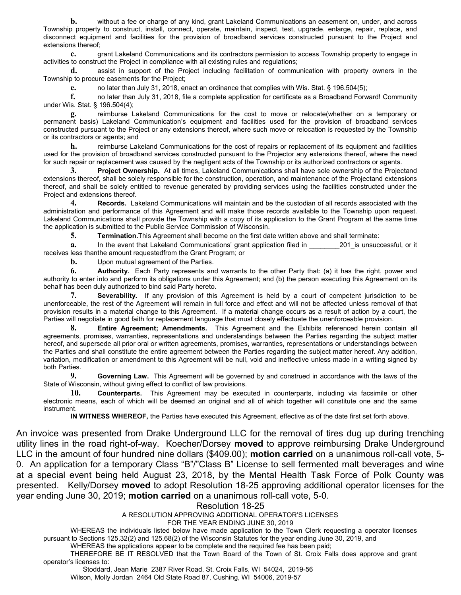**b.** without a fee or charge of any kind, grant Lakeland Communications an easement on, under, and across Township property to construct, install, connect, operate, maintain, inspect, test, upgrade, enlarge, repair, replace, and disconnect equipment and facilities for the provision of broadband services constructed pursuant to the Project and extensions thereof;

c. grant Lakeland Communications and its contractors permission to access Township property to engage in activities to construct the Project in compliance with all existing rules and regulations;

d. assist in support of the Project including facilitation of communication with property owners in the Township to procure easements for the Project;

e. no later than July 31, 2018, enact an ordinance that complies with Wis. Stat. § 196.504(5);

f. no later than July 31, 2018, file a complete application for certificate as a Broadband Forward! Community under Wis. Stat. § 196.504(4);

reimburse Lakeland Communications for the cost to move or relocate(whether on a temporary or permanent basis) Lakeland Communication's equipment and facilities used for the provision of broadband services constructed pursuant to the Project or any extensions thereof, where such move or relocation is requested by the Township or its contractors or agents; and

h. reimburse Lakeland Communications for the cost of repairs or replacement of its equipment and facilities used for the provision of broadband services constructed pursuant to the Projector any extensions thereof, where the need for such repair or replacement was caused by the negligent acts of the Township or its authorized contractors or agents.

3. Project Ownership. At all times, Lakeland Communications shall have sole ownership of the Projectand extensions thereof, shall be solely responsible for the construction, operation, and maintenance of the Projectand extensions thereof, and shall be solely entitled to revenue generated by providing services using the facilities constructed under the Project and extensions thereof.

4. Records. Lakeland Communications will maintain and be the custodian of all records associated with the administration and performance of this Agreement and will make those records available to the Township upon request. Lakeland Communications shall provide the Township with a copy of its application to the Grant Program at the same time the application is submitted to the Public Service Commission of Wisconsin.

5. Termination.This Agreement shall become on the first date written above and shall terminate:

a. In the event that Lakeland Communications' grant application filed in 201 is unsuccessful, or it receives less thanthe amount requestedfrom the Grant Program; or

**b.** Upon mutual agreement of the Parties.

6. Authority. Each Party represents and warrants to the other Party that: (a) it has the right, power and authority to enter into and perform its obligations under this Agreement; and (b) the person executing this Agreement on its behalf has been duly authorized to bind said Party hereto.

Severability. If any provision of this Agreement is held by a court of competent jurisdiction to be unenforceable, the rest of the Agreement will remain in full force and effect and will not be affected unless removal of that provision results in a material change to this Agreement. If a material change occurs as a result of action by a court, the Parties will negotiate in good faith for replacement language that must closely effectuate the unenforceable provision.

8. Entire Agreement; Amendments. This Agreement and the Exhibits referenced herein contain all agreements, promises, warranties, representations and understandings between the Parties regarding the subject matter hereof, and supersede all prior oral or written agreements, promises, warranties, representations or understandings between the Parties and shall constitute the entire agreement between the Parties regarding the subject matter hereof. Any addition, variation, modification or amendment to this Agreement will be null, void and ineffective unless made in a writing signed by both Parties.

9. Governing Law. This Agreement will be governed by and construed in accordance with the laws of the State of Wisconsin, without giving effect to conflict of law provisions.

10. Counterparts. This Agreement may be executed in counterparts, including via facsimile or other electronic means, each of which will be deemed an original and all of which together will constitute one and the same instrument.

IN WITNESS WHEREOF, the Parties have executed this Agreement, effective as of the date first set forth above.

An invoice was presented from Drake Underground LLC for the removal of tires dug up during trenching utility lines in the road right-of-way. Koecher/Dorsey moved to approve reimbursing Drake Underground LLC in the amount of four hundred nine dollars (\$409.00); motion carried on a unanimous roll-call vote, 5-0. An application for a temporary Class "B"/"Class B" License to sell fermented malt beverages and wine at a special event being held August 23, 2018, by the Mental Health Task Force of Polk County was presented. Kelly/Dorsey moved to adopt Resolution 18-25 approving additional operator licenses for the year ending June 30, 2019; motion carried on a unanimous roll-call vote, 5-0.

Resolution 18-25

A RESOLUTION APPROVING ADDITIONAL OPERATOR'S LICENSES

## FOR THE YEAR ENDING JUNE 30, 2019

WHEREAS the individuals listed below have made application to the Town Clerk requesting a operator licenses pursuant to Sections 125.32(2) and 125.68(2) of the Wisconsin Statutes for the year ending June 30, 2019, and

WHEREAS the applications appear to be complete and the required fee has been paid;

THEREFORE BE IT RESOLVED that the Town Board of the Town of St. Croix Falls does approve and grant operator's licenses to:

 Stoddard, Jean Marie 2387 River Road, St. Croix Falls, WI 54024, 2019-56 Wilson, Molly Jordan 2464 Old State Road 87, Cushing, WI 54006, 2019-57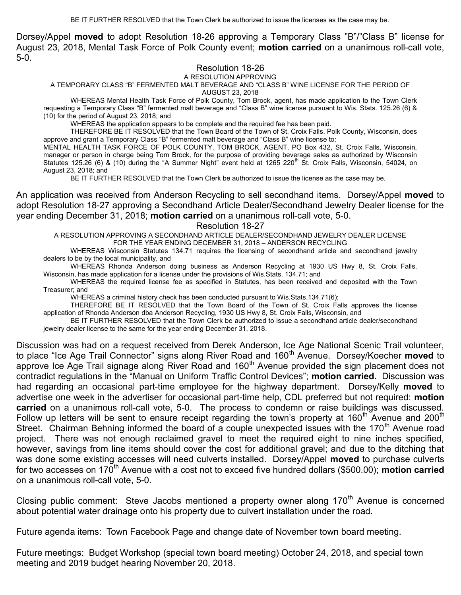Dorsey/Appel moved to adopt Resolution 18-26 approving a Temporary Class "B"/"Class B" license for August 23, 2018, Mental Task Force of Polk County event; motion carried on a unanimous roll-call vote, 5-0.

Resolution 18-26

### A RESOLUTION APPROVING

A TEMPORARY CLASS "B" FERMENTED MALT BEVERAGE AND "CLASS B" WINE LICENSE FOR THE PERIOD OF

AUGUST 23, 2018

WHEREAS Mental Health Task Force of Polk County, Tom Brock, agent, has made application to the Town Clerk requesting a Temporary Class "B" fermented malt beverage and "Class B" wine license pursuant to Wis. Stats. 125.26 (6) & (10) for the period of August 23, 2018; and

WHEREAS the application appears to be complete and the required fee has been paid.

THEREFORE BE IT RESOLVED that the Town Board of the Town of St. Croix Falls, Polk County, Wisconsin, does approve and grant a Temporary Class "B" fermented malt beverage and "Class B" wine license to:

MENTAL HEALTH TASK FORCE OF POLK COUNTY, TOM BROCK, AGENT, PO Box 432, St. Croix Falls, Wisconsin, manager or person in charge being Tom Brock, for the purpose of providing beverage sales as authorized by Wisconsin Statutes 125.26 (6) & (10) during the "A Summer Night" event held at 1265 220<sup>th</sup> St. Croix Falls, Wisconsin, 54024, on August 23, 2018; and

BE IT FURTHER RESOLVED that the Town Clerk be authorized to issue the license as the case may be.

An application was received from Anderson Recycling to sell secondhand items. Dorsey/Appel **moved** to adopt Resolution 18-27 approving a Secondhand Article Dealer/Secondhand Jewelry Dealer license for the year ending December 31, 2018; motion carried on a unanimous roll-call vote, 5-0.

## Resolution 18-27

A RESOLUTION APPROVING A SECONDHAND ARTICLE DEALER/SECONDHAND JEWELRY DEALER LICENSE FOR THE YEAR ENDING DECEMBER 31, 2018 – ANDERSON RECYCLING

WHEREAS Wisconsin Statutes 134.71 requires the licensing of secondhand article and secondhand jewelry dealers to be by the local municipality, and

WHEREAS Rhonda Anderson doing business as Anderson Recycling at 1930 US Hwy 8, St. Croix Falls, Wisconsin, has made application for a license under the provisions of Wis.Stats. 134.71; and

WHEREAS the required license fee as specified in Statutes, has been received and deposited with the Town Treasurer; and

WHEREAS a criminal history check has been conducted pursuant to Wis.Stats.134.71(6);

THEREFORE BE IT RESOLVED that the Town Board of the Town of St. Croix Falls approves the license application of Rhonda Anderson dba Anderson Recycling, 1930 US Hwy 8, St. Croix Falls, Wisconsin, and

BE IT FURTHER RESOLVED that the Town Clerk be authorized to issue a secondhand article dealer/secondhand jewelry dealer license to the same for the year ending December 31, 2018.

Discussion was had on a request received from Derek Anderson, Ice Age National Scenic Trail volunteer, to place "Ice Age Trail Connector" signs along River Road and 160<sup>th</sup> Avenue. Dorsey/Koecher moved to approve Ice Age Trail signage along River Road and 160<sup>th</sup> Avenue provided the sign placement does not contradict regulations in the "Manual on Uniform Traffic Control Devices"; motion carried. Discussion was had regarding an occasional part-time employee for the highway department. Dorsey/Kelly moved to advertise one week in the advertiser for occasional part-time help, CDL preferred but not required: motion carried on a unanimous roll-call vote, 5-0. The process to condemn or raise buildings was discussed. Follow up letters will be sent to ensure receipt regarding the town's property at 160<sup>th</sup> Avenue and 200<sup>th</sup> Street. Chairman Behning informed the board of a couple unexpected issues with the 170<sup>th</sup> Avenue road project. There was not enough reclaimed gravel to meet the required eight to nine inches specified, however, savings from line items should cover the cost for additional gravel; and due to the ditching that was done some existing accesses will need culverts installed. Dorsey/Appel moved to purchase culverts for two accesses on 170<sup>th</sup> Avenue with a cost not to exceed five hundred dollars (\$500.00); motion carried on a unanimous roll-call vote, 5-0.

Closing public comment: Steve Jacobs mentioned a property owner along  $170<sup>th</sup>$  Avenue is concerned about potential water drainage onto his property due to culvert installation under the road.

Future agenda items: Town Facebook Page and change date of November town board meeting.

Future meetings: Budget Workshop (special town board meeting) October 24, 2018, and special town meeting and 2019 budget hearing November 20, 2018.